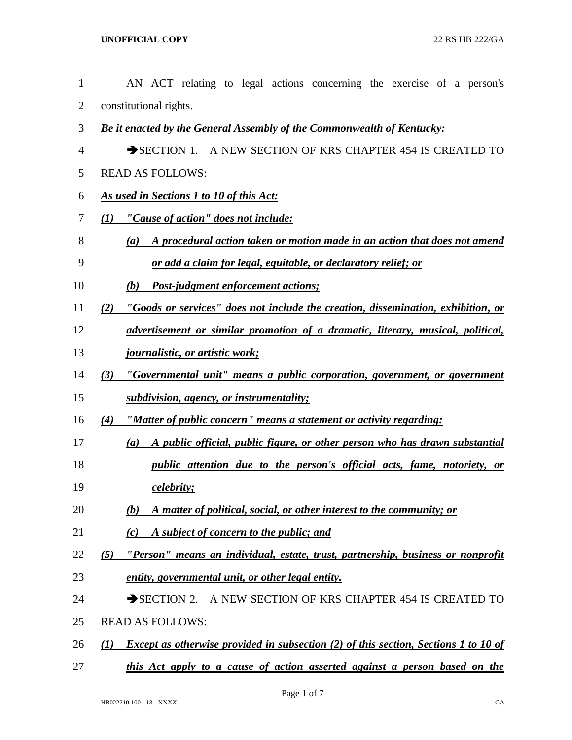| $\mathbf{1}$   | AN ACT relating to legal actions concerning the exercise of a person's                            |
|----------------|---------------------------------------------------------------------------------------------------|
| $\overline{2}$ | constitutional rights.                                                                            |
| 3              | Be it enacted by the General Assembly of the Commonwealth of Kentucky:                            |
| 4              | SECTION 1. A NEW SECTION OF KRS CHAPTER 454 IS CREATED TO                                         |
| 5              | <b>READ AS FOLLOWS:</b>                                                                           |
| 6              | As used in Sections 1 to 10 of this Act:                                                          |
| 7              | "Cause of action" does not include:<br>$\bf(1)$                                                   |
| 8              | A procedural action taken or motion made in an action that does not amend<br>(a)                  |
| 9              | <u>or add a claim for legal, equitable, or declaratory relief; or</u>                             |
| 10             | Post-judgment enforcement actions;<br>(b)                                                         |
| 11             | "Goods or services" does not include the creation, dissemination, exhibition, or<br>(2)           |
| 12             | advertisement or similar promotion of a dramatic, literary, musical, political,                   |
| 13             | <u>journalistic, or artistic work;</u>                                                            |
| 14             | "Governmental unit" means a public corporation, government, or government<br>(3)                  |
| 15             | subdivision, agency, or instrumentality;                                                          |
| 16             | (4)<br>"Matter of public concern" means a statement or activity regarding:                        |
| 17             | A public official, public figure, or other person who has drawn substantial<br>(a)                |
| 18             | public attention due to the person's official acts, fame, notoriety, or                           |
| 19             | <i>celebrity;</i>                                                                                 |
| 20             | A matter of political, social, or other interest to the community; or<br>(b)                      |
| 21             | A subject of concern to the public; and<br>(c)                                                    |
| 22             | "Person" means an individual, estate, trust, partnership, business or nonprofit<br>(5)            |
| 23             | entity, governmental unit, or other legal entity.                                                 |
| 24             | SECTION 2. A NEW SECTION OF KRS CHAPTER 454 IS CREATED TO                                         |
| 25             | <b>READ AS FOLLOWS:</b>                                                                           |
| 26             | <b>Except as otherwise provided in subsection (2) of this section, Sections 1 to 10 of</b><br>(I) |
| 27             | this Act apply to a cause of action asserted against a person based on the                        |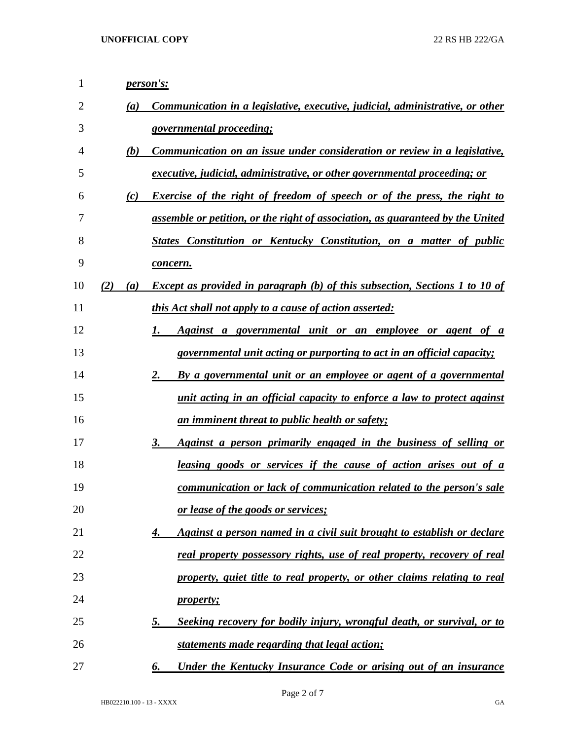| 1              | person's:                                                                                        |
|----------------|--------------------------------------------------------------------------------------------------|
| $\overline{2}$ | Communication in a legislative, executive, judicial, administrative, or other<br>(a)             |
| 3              | governmental proceeding;                                                                         |
| 4              | Communication on an issue under consideration or review in a legislative,<br>(b)                 |
| 5              | executive, judicial, administrative, or other governmental proceeding; or                        |
| 6              | Exercise of the right of freedom of speech or of the press, the right to<br>(c)                  |
| 7              | assemble or petition, or the right of association, as guaranteed by the United                   |
| 8              | States Constitution or Kentucky Constitution, on a matter of public                              |
| 9              | concern.                                                                                         |
| 10             | <b>Except as provided in paragraph (b) of this subsection, Sections 1 to 10 of</b><br>(2)<br>(a) |
| 11             | <i>this Act shall not apply to a cause of action asserted:</i>                                   |
| 12             | 1.<br>Against a governmental unit or an employee or agent of a                                   |
| 13             | governmental unit acting or purporting to act in an official capacity;                           |
| 14             | 2.<br>By a governmental unit or an employee or agent of a governmental                           |
| 15             | unit acting in an official capacity to enforce a law to protect against                          |
| 16             | <u>an imminent threat to public health or safety;</u>                                            |
| 17             | 3.<br>Against a person primarily engaged in the business of selling or                           |
| 18             | <u>leasing goods or services if the cause of action arises out of a</u>                          |
| 19             | communication or lack of communication related to the person's sale                              |
| 20             | or lease of the goods or services;                                                               |
| 21             | Against a person named in a civil suit brought to establish or declare<br>4.                     |
| 22             | real property possessory rights, use of real property, recovery of real                          |
| 23             | property, quiet title to real property, or other claims relating to real                         |
| 24             | <i>property;</i>                                                                                 |
| 25             | Seeking recovery for bodily injury, wrongful death, or survival, or to<br>5.                     |
| 26             | statements made regarding that legal action;                                                     |
| 27             | Under the Kentucky Insurance Code or arising out of an insurance<br>6.                           |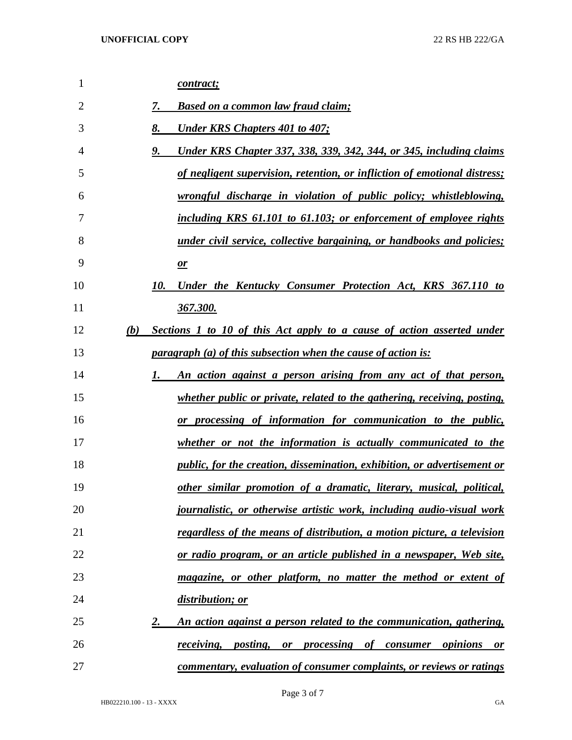| 1              | contract;                                                                           |
|----------------|-------------------------------------------------------------------------------------|
| $\overline{2}$ | <b>Based on a common law fraud claim;</b><br>7.                                     |
| 3              | 8.<br><b>Under KRS Chapters 401 to 407;</b>                                         |
| $\overline{4}$ | 9.<br>Under KRS Chapter 337, 338, 339, 342, 344, or 345, including claims           |
| 5              | of negligent supervision, retention, or infliction of emotional distress;           |
| 6              | wrongful discharge in violation of public policy; whistleblowing,                   |
| 7              | including KRS 61.101 to 61.103; or enforcement of employee rights                   |
| 8              | <i>under civil service, collective bargaining, or handbooks and policies;</i>       |
| 9              | $\mathbf{r}$                                                                        |
| 10             | 10.<br>Under the Kentucky Consumer Protection Act, KRS 367.110 to                   |
| 11             | 367.300.                                                                            |
| 12             | Sections 1 to 10 of this Act apply to a cause of action asserted under<br>(b)       |
| 13             | <i>paragraph (a) of this subsection when the cause of action is:</i>                |
| 14             | An action against a person arising from any act of that person,<br>1.               |
| 15             | whether public or private, related to the gathering, receiving, posting,            |
| 16             | or processing of information for communication to the public,                       |
| 17             | whether or not the information is actually communicated to the                      |
| 18             | <i>public, for the creation, dissemination, exhibition, or advertisement or</i>     |
| 19             | other similar promotion of a dramatic, literary, musical, political,                |
| 20             | <i>journalistic, or otherwise artistic work, including audio-visual work</i>        |
| 21             | regardless of the means of distribution, a motion picture, a television             |
| 22             | or radio program, or an article published in a newspaper, Web site,                 |
| 23             | magazine, or other platform, no matter the method or extent of                      |
| 24             | distribution; or                                                                    |
| 25             | 2.<br>An action against a person related to the communication, gathering,           |
| 26             | <i>receiving</i> , <i>posting</i> , <i>or processing of consumer opinions</i><br>or |
| 27             | commentary, evaluation of consumer complaints, or reviews or ratings                |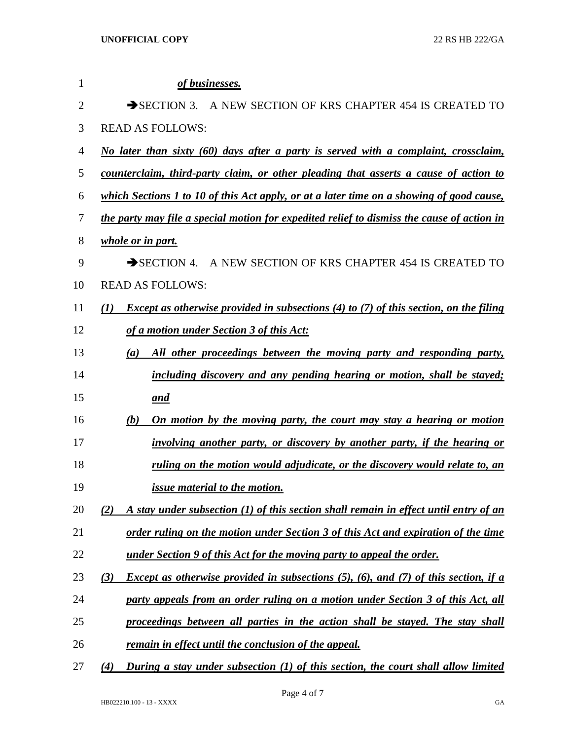| 1              | of businesses.                                                                                      |
|----------------|-----------------------------------------------------------------------------------------------------|
| $\overline{2}$ | A NEW SECTION OF KRS CHAPTER 454 IS CREATED TO<br>$\rightarrow$ SECTION 3.                          |
| 3              | <b>READ AS FOLLOWS:</b>                                                                             |
| 4              | No later than sixty (60) days after a party is served with a complaint, crossclaim,                 |
| 5              | counterclaim, third-party claim, or other pleading that asserts a cause of action to                |
| 6              | which Sections 1 to 10 of this Act apply, or at a later time on a showing of good cause,            |
| 7              | the party may file a special motion for expedited relief to dismiss the cause of action in          |
| 8              | whole or in part.                                                                                   |
| 9              | SECTION 4. A NEW SECTION OF KRS CHAPTER 454 IS CREATED TO                                           |
| 10             | <b>READ AS FOLLOWS:</b>                                                                             |
| 11             | <i>Except as otherwise provided in subsections (4) to (7) of this section, on the filing</i><br>(1) |
| 12             | of a motion under Section 3 of this Act:                                                            |
| 13             | All other proceedings between the moving party and responding party,<br>(a)                         |
| 14             | including discovery and any pending hearing or motion, shall be stayed;                             |
| 15             | and                                                                                                 |
| 16             | On motion by the moving party, the court may stay a hearing or motion<br>(b)                        |
| 17             | involving another party, or discovery by another party, if the hearing or                           |
| 18             | ruling on the motion would adjudicate, or the discovery would relate to, an                         |
| 19             | issue material to the motion.                                                                       |
| 20             | A stay under subsection (1) of this section shall remain in effect until entry of an<br>(2)         |
| 21             | order ruling on the motion under Section 3 of this Act and expiration of the time                   |
| 22             | under Section 9 of this Act for the moving party to appeal the order.                               |
| 23             | <i>Except as otherwise provided in subsections (5), (6), and (7) of this section, if a</i><br>(3)   |
| 24             | party appeals from an order ruling on a motion under Section 3 of this Act, all                     |
| 25             | proceedings between all parties in the action shall be stayed. The stay shall                       |
| 26             | remain in effect until the conclusion of the appeal.                                                |
| 27             | During a stay under subsection (1) of this section, the court shall allow limited<br>(4)            |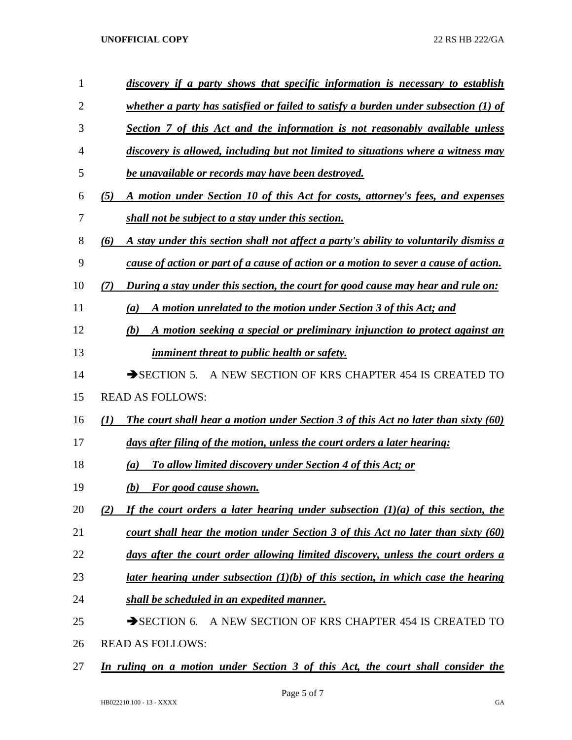## **UNOFFICIAL COPY** 22 RS HB 222/GA

| $\mathbf{1}$   | discovery if a party shows that specific information is necessary to establish                            |
|----------------|-----------------------------------------------------------------------------------------------------------|
| $\overline{2}$ | whether a party has satisfied or failed to satisfy a burden under subsection $(1)$ of                     |
| 3              | Section 7 of this Act and the information is not reasonably available unless                              |
| 4              | discovery is allowed, including but not limited to situations where a witness may                         |
| 5              | be unavailable or records may have been destroyed.                                                        |
| 6              | A motion under Section 10 of this Act for costs, attorney's fees, and expenses<br>(5)                     |
| 7              | shall not be subject to a stay under this section.                                                        |
| $8\,$          | A stay under this section shall not affect a party's ability to voluntarily dismiss a<br>(6)              |
| 9              | cause of action or part of a cause of action or a motion to sever a cause of action.                      |
| 10             | During a stay under this section, the court for good cause may hear and rule on:<br>(7)                   |
| 11             | A motion unrelated to the motion under Section 3 of this Act; and<br>(a)                                  |
| 12             | A motion seeking a special or preliminary injunction to protect against an<br>(b)                         |
| 13             | <i>imminent threat to public health or safety.</i>                                                        |
| 14             | A NEW SECTION OF KRS CHAPTER 454 IS CREATED TO<br>$\rightarrow$ SECTION 5.                                |
| 15             | <b>READ AS FOLLOWS:</b>                                                                                   |
| 16             | <b>The court shall hear a motion under Section 3 of this Act no later than sixty (60)</b><br>$\mathbf{U}$ |
| 17             | days after filing of the motion, unless the court orders a later hearing:                                 |
| 18             | To allow limited discovery under Section 4 of this Act; or<br>(a)                                         |
| 19             | For good cause shown.<br>(b)                                                                              |
| 20             | If the court orders a later hearing under subsection $(1)(a)$ of this section, the<br>(2)                 |
| 21             | court shall hear the motion under Section 3 of this Act no later than sixty (60)                          |
| 22             | days after the court order allowing limited discovery, unless the court orders a                          |
| 23             | <u>later hearing under subsection <math>(1)(b)</math> of this section, in which case the hearing</u>      |
| 24             | shall be scheduled in an expedited manner.                                                                |
| 25             | SECTION 6.<br>A NEW SECTION OF KRS CHAPTER 454 IS CREATED TO                                              |
| 26             | <b>READ AS FOLLOWS:</b>                                                                                   |

*In ruling on a motion under Section 3 of this Act, the court shall consider the*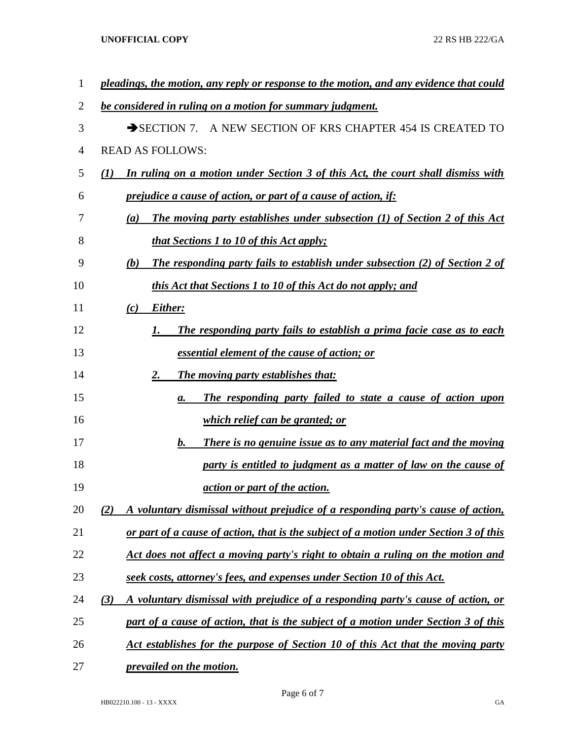**UNOFFICIAL COPY** 22 RS HB 222/GA

| $\mathbf 1$ | pleadings, the motion, any reply or response to the motion, and any evidence that could               |
|-------------|-------------------------------------------------------------------------------------------------------|
| 2           | be considered in ruling on a motion for summary judgment.                                             |
| 3           | SECTION 7. A NEW SECTION OF KRS CHAPTER 454 IS CREATED TO                                             |
| 4           | <b>READ AS FOLLOWS:</b>                                                                               |
| 5           | In ruling on a motion under Section 3 of this Act, the court shall dismiss with<br>$\mathbf{U}$       |
| 6           | <i>prejudice a cause of action, or part of a cause of action, if:</i>                                 |
| 7           | <b>The moving party establishes under subsection (1) of Section 2 of this Act</b><br>$\left(a\right)$ |
| 8           | <i>that Sections 1 to 10 of this Act apply;</i>                                                       |
| 9           | <b>The responding party fails to establish under subsection (2) of Section 2 of</b><br>(b)            |
| 10          | this Act that Sections 1 to 10 of this Act do not apply; and                                          |
| 11          | Either:<br>(c)                                                                                        |
| 12          | The responding party fails to establish a prima facie case as to each<br>I.                           |
| 13          | essential element of the cause of action; or                                                          |
| 14          | <b>The moving party establishes that:</b><br>2.                                                       |
| 15          | The responding party failed to state a cause of action upon<br>а.                                     |
| 16          | <i>which relief can be granted; or</i>                                                                |
| 17          | There is no genuine issue as to any material fact and the moving<br>b.                                |
| 18          | party is entitled to judgment as a matter of law on the cause of                                      |
| 19          | <i>action or part of the action.</i>                                                                  |
| 20          | A voluntary dismissal without prejudice of a responding party's cause of action,<br>(2)               |
| 21          | or part of a cause of action, that is the subject of a motion under Section 3 of this                 |
| 22          | Act does not affect a moving party's right to obtain a ruling on the motion and                       |
| 23          | seek costs, attorney's fees, and expenses under Section 10 of this Act.                               |
| 24          | A voluntary dismissal with prejudice of a responding party's cause of action, or<br>(3)               |
| 25          | part of a cause of action, that is the subject of a motion under Section 3 of this                    |
| 26          | Act establishes for the purpose of Section 10 of this Act that the moving party                       |
| 27          | prevailed on the motion.                                                                              |